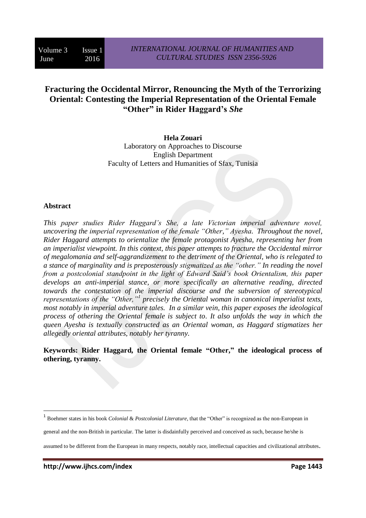## **Fracturing the Occidental Mirror, Renouncing the Myth of the Terrorizing Oriental: Contesting the Imperial Representation of the Oriental Female "Other" in Rider Haggard's** *She*

**Hela Zouari** Laboratory on Approaches to Discourse English Department Faculty of Letters and Humanities of Sfax, Tunisia

## **Abstract**

 $\overline{a}$ 

*This paper studies Rider Haggard's She, a late Victorian imperial adventure novel, uncovering the imperial representation of the female "Other," Ayesha. Throughout the novel, Rider Haggard attempts to orientalize the female protagonist Ayesha, representing her from an imperialist viewpoint. In this context, this paper attempts to fracture the Occidental mirror of megalomania and self-aggrandizement to the detriment of the Oriental, who is relegated to a stance of marginality and is preposterously stigmatized as the "other." In reading the novel from a postcolonial standpoint in the light of Edward Said's book Orientalism, this paper develops an anti-imperial stance, or more specifically an alternative reading, directed towards the contestation of the imperial discourse and the subversion of stereotypical representations of the "Other,"<sup>1</sup> precisely the Oriental woman in canonical imperialist texts, most notably in imperial adventure tales. In a similar vein, this paper exposes the ideological process of othering the Oriental female is subject to. It also unfolds the way in which the queen Ayesha is textually constructed as an Oriental woman, as Haggard stigmatizes her allegedly oriental attributes, notably her tyranny.*

**Keywords: Rider Haggard, the Oriental female "Other," the ideological process of othering, tyranny.**

<sup>&</sup>lt;sup>1</sup> Boehmer states in his book *Colonial & Postcolonial Literature*, that the "Other" is recognized as the non-European in

general and the non-British in particular. The latter is disdainfully perceived and conceived as such, because he/she is

assumed to be different from the European in many respects, notably race, intellectual capacities and civilizational attributes.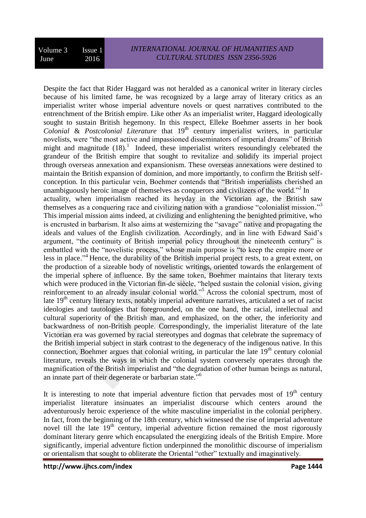Despite the fact that Rider Haggard was not heralded as a canonical writer in literary circles because of his limited fame, he was recognized by a large array of literary critics as an imperialist writer whose imperial adventure novels or quest narratives contributed to the entrenchment of the British empire. Like other As an imperialist writer, Haggard ideologically sought to sustain British hegemony. In this respect, Elleke Boehmer asserts in her book *Colonial & Postcolonial Literature* that 19<sup>th</sup> century imperialist writers, in particular novelists, were "the most active and impassioned disseminators of imperial dreams" of British might and magnitude  $(18)$ .<sup>1</sup> Indeed, these imperialist writers resoundingly celebrated the grandeur of the British empire that sought to revitalize and solidify its imperial project through overseas annexation and expansionism. These overseas annexations were destined to maintain the British expansion of dominion, and more importantly, to confirm the British selfconception. In this particular vein, Boehmer contends that "British imperialists cherished an unambiguously heroic image of themselves as conquerors and civilizers of the world."<sup>2</sup> In actuality, when imperialism reached its heyday in the Victorian age, the British saw themselves as a conquering race and civilizing nation with a grandiose "colonialist mission."<sup>3</sup> This imperial mission aims indeed, at civilizing and enlightening the benighted primitive, who is encrusted in barbarism. It also aims at westernizing the "savage" native and propagating the ideals and values of the English civilization. Accordingly, and in line with Edward Said's argument, "the continuity of British imperial policy throughout the nineteenth century" is embattled with the "novelistic process," whose main purpose is "to keep the empire more or less in place."<sup>4</sup> Hence, the durability of the British imperial project rests, to a great extent, on the production of a sizeable body of novelistic writings, oriented towards the enlargement of the imperial sphere of influence. By the same token, Boehmer maintains that literary texts which were produced in the Victorian fin-de siècle, "helped sustain the colonial vision, giving reinforcement to an already insular colonial world."<sup>5</sup> Across the colonial spectrum, most of late  $19<sup>th</sup>$  century literary texts, notably imperial adventure narratives, articulated a set of racist ideologies and tautologies that foregrounded, on the one hand, the racial, intellectual and cultural superiority of the British man, and emphasized, on the other, the inferiority and backwardness of non-British people. Correspondingly, the imperialist literature of the late Victorian era was governed by racial stereotypes and dogmas that celebrate the supremacy of the British imperial subject in stark contrast to the degeneracy of the indigenous native. In this connection, Boehmer argues that colonial writing, in particular the late  $19<sup>th</sup>$  century colonial literature, reveals the ways in which the colonial system conversely operates through the magnification of the British imperialist and "the degradation of other human beings as natural, an innate part of their degenerate or barbarian state."<sup>6</sup>

It is interesting to note that imperial adventure fiction that pervades most of  $19<sup>th</sup>$  century imperialist literature insinuates an imperialist discourse which centers around the adventurously heroic experience of the white masculine imperialist in the colonial periphery. In fact, from the beginning of the 18th century, which witnessed the rise of imperial adventure novel till the late  $19<sup>th</sup>$  century, imperial adventure fiction remained the most rigorously dominant literary genre which encapsulated the energizing ideals of the British Empire. More significantly, imperial adventure fiction underpinned the monolithic discourse of imperialism or orientalism that sought to obliterate the Oriental "other" textually and imaginatively.

**http://www.ijhcs.com/index Page 1444**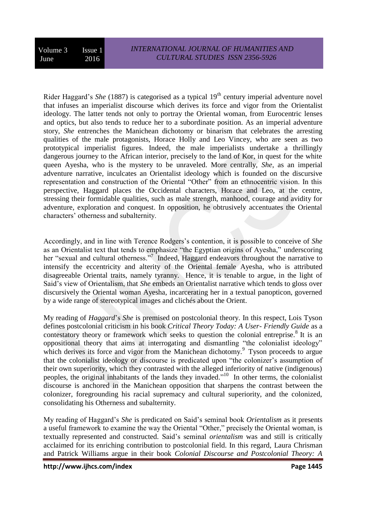Rider Haggard's *She* (1887) is categorised as a typical 19<sup>th</sup> century imperial adventure novel that infuses an imperialist discourse which derives its force and vigor from the Orientalist ideology. The latter tends not only to portray the Oriental woman, from Eurocentric lenses and optics, but also tends to reduce her to a subordinate position. As an imperial adventure story, *She* entrenches the Manichean dichotomy or binarism that celebrates the arresting qualities of the male protagonists, Horace Holly and Leo Vincey, who are seen as two prototypical imperialist figures. Indeed, the male imperialists undertake a thrillingly dangerous journey to the African interior, precisely to the land of Kor, in quest for the white queen Ayesha, who is the mystery to be unraveled. More centrally, *She*, as an imperial adventure narrative, inculcates an Orientalist ideology which is founded on the discursive representation and construction of the Oriental "Other" from an ethnocentric vision. In this perspective, Haggard places the Occidental characters, Horace and Leo, at the centre, stressing their formidable qualities, such as male strength, manhood, courage and avidity for adventure, exploration and conquest. In opposition, he obtrusively accentuates the Oriental characters' otherness and subalternity.

Accordingly, and in line with Terence Rodgers's contention, it is possible to conceive of *She*  as an Orientalist text that tends to emphasize "the Egyptian origins of Ayesha," underscoring her "sexual and cultural otherness."<sup>7</sup> Indeed, Haggard endeavors throughout the narrative to intensify the eccentricity and alterity of the Oriental female Ayesha, who is attributed disagreeable Oriental traits, namely tyranny. Hence, it is tenable to argue, in the light of Said's view of Orientalism, that *She* embeds an Orientalist narrative which tends to gloss over discursively the Oriental woman Ayesha, incarcerating her in a textual panopticon, governed by a wide range of stereotypical images and clichés about the Orient.

My reading of *Haggard*'s *She* is premised on postcolonial theory. In this respect, Lois Tyson defines postcolonial criticism in his book *Critical Theory Today: A User- Friendly Guide* as a contestatory theory or framework which seeks to question the colonial entreprise.<sup>8</sup> It is an oppositional theory that aims at interrogating and dismantling "the colonialist ideology" which derives its force and vigor from the Manichean dichotomy.<sup>9</sup> Tyson proceeds to argue that the colonialist ideology or discourse is predicated upon "the colonizer's assumption of their own superiority, which they contrasted with the alleged inferiority of native (indigenous) peoples, the original inhabitants of the lands they invaded."<sup>10</sup> In other terms, the colonialist discourse is anchored in the Manichean opposition that sharpens the contrast between the colonizer, foregrounding his racial supremacy and cultural superiority, and the colonized, consolidating his Otherness and subalternity.

My reading of Haggard's *She* is predicated on Said's seminal book *Orientalism* as it presents a useful framework to examine the way the Oriental "Other," precisely the Oriental woman, is textually represented and constructed. Said's seminal *orientalism* was and still is critically acclaimed for its enriching contribution to postcolonial field. In this regard, Laura Chrisman and Patrick Williams argue in their book *Colonial Discourse and Postcolonial Theory: A*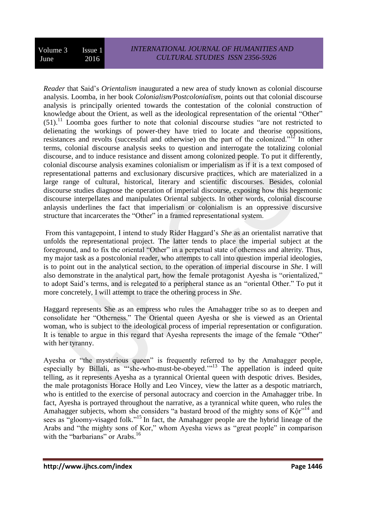*Reader* that Said's *Orientalism* inaugurated a new area of study known as colonial discourse analysis. Loomba, in her book *Colonialism/Postcolonialism*, points out that colonial discourse analysis is principally oriented towards the contestation of the colonial construction of knowledge about the Orient, as well as the ideological representation of the oriental "Other"  $(51)$ .<sup>11</sup> Loomba goes further to note that colonial discourse studies "are not restricted to delienating the workings of power-they have tried to locate and theorise oppositions, resistances and revolts (successful and otherwise) on the part of the colonized."<sup>12</sup> In other terms, colonial discourse analysis seeks to question and interrogate the totalizing colonial discourse, and to induce resistance and dissent among colonized people. To put it differently, colonial discourse analysis examines colonialism or imperialism as if it is a text composed of representational patterns and exclusionary discursive practices, which are materialized in a large range of cultural, historical, literary and scientific discourses. Besides, colonial discourse studies diagnose the operation of imperial discourse, exposing how this hegemonic discourse interpellates and manipulates Oriental subjects. In other words, colonial discourse anlaysis underlines the fact that imperialism or colonialism is an oppressive discursive structure that incarcerates the "Other" in a framed representational system.

From this vantagepoint, I intend to study Rider Haggard's *She* as an orientalist narrative that unfolds the representational project. The latter tends to place the imperial subject at the foreground, and to fix the oriental "Other" in a perpetual state of otherness and alterity. Thus, my major task as a postcolonial reader, who attempts to call into question imperial ideologies, is to point out in the analytical section, to the operation of imperial discourse in *She*. I will also demonstrate in the analytical part, how the female protagonist Ayesha is "orientalized," to adopt Said's terms, and is relegated to a peripheral stance as an "oriental Other." To put it more concretely, I will attempt to trace the othering process in *She*.

Haggard represents She as an empress who rules the Amahagger tribe so as to deepen and consolidate her "Otherness." The Oriental queen Ayesha or she is viewed as an Oriental woman, who is subject to the ideological process of imperial representation or configuration. It is tenable to argue in this regard that Ayesha represents the image of the female "Other" with her tyranny.

Ayesha or "the mysterious queen" is frequently referred to by the Amahagger people, especially by Billali, as "she-who-must-be-obeyed."<sup>13</sup> The appellation is indeed quite telling, as it represents Ayesha as a tyrannical Oriental queen with despotic drives. Besides, the male protagonists Horace Holly and Leo Vincey, view the latter as a despotic matriarch, who is entitled to the exercise of personal autocracy and coercion in the Amahagger tribe. In fact, Ayesha is portrayed throughout the narrative, as a tyrannical white queen, who rules the Amahagger subjects, whom she considers "a bastard brood of the mighty sons of  $K\hat{\varphi}r^{14}$  and sees as "gloomy-visaged folk."<sup>15</sup> In fact, the Amahagger people are the hybrid lineage of the Arabs and "the mighty sons of Kor," whom Ayesha views as "great people" in comparison with the "barbarians" or Arabs.<sup>16</sup>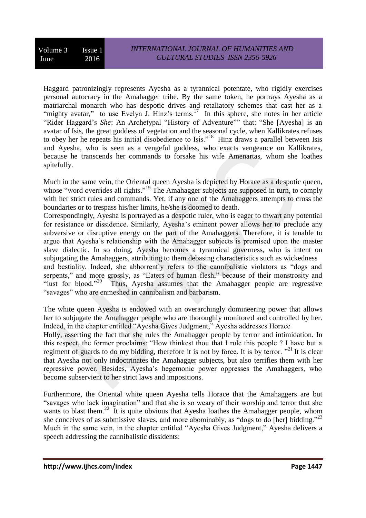Haggard patronizingly represents Ayesha as a tyrannical potentate, who rigidly exercises personal autocracy in the Amahagger tribe. By the same token, he portrays Ayesha as a matriarchal monarch who has despotic drives and retaliatory schemes that cast her as a "mighty avatar," to use Evelyn J. Hinz's terms.<sup>17</sup> In this sphere, she notes in her article "Rider Haggard's *She*: An Archetypal "History of Adventure"" that: "She [Ayesha] is an avatar of Isis, the great goddess of vegetation and the seasonal cycle, when Kallikrates refuses to obey her he repeats his initial disobedience to Isis."<sup>18</sup> Hinz draws a parallel between Isis and Ayesha, who is seen as a vengeful goddess, who exacts vengeance on Kallikrates, because he transcends her commands to forsake his wife Amenartas, whom she loathes spitefully.

Much in the same vein, the Oriental queen Ayesha is depicted by Horace as a despotic queen, whose "word overrides all rights."<sup>19</sup> The Amahagger subjects are supposed in turn, to comply with her strict rules and commands. Yet, if any one of the Amahaggers attempts to cross the boundaries or to trespass his/her limits, he/she is doomed to death.

Correspondingly, Ayesha is portrayed as a despotic ruler, who is eager to thwart any potential for resistance or dissidence. Similarly, Ayesha's eminent power allows her to preclude any subversive or disruptive energy on the part of the Amahaggers. Therefore, it is tenable to argue that Ayesha's relationship with the Amahagger subjects is premised upon the master slave dialectic. In so doing, Ayesha becomes a tyrannical governess, who is intent on subjugating the Amahaggers, attributing to them debasing characteristics such as wickedness and bestiality. Indeed, she abhorrently refers to the cannibalistic violators as "dogs and serpents," and more grossly, as "Eaters of human flesh," because of their monstrosity and "lust for blood."<sup>20</sup> Thus, Ayesha assumes that the Amahagger people are regressive "savages" who are enmeshed in cannibalism and barbarism.

The white queen Ayesha is endowed with an overarchingly domineering power that allows her to subjugate the Amahagger people who are thoroughly monitored and controlled by her. Indeed, in the chapter entitled "Ayesha Gives Judgment," Ayesha addresses Horace

Holly, asserting the fact that she rules the Amahagger people by terror and intimidation. In this respect, the former proclaims: "How thinkest thou that I rule this people ? I have but a regiment of guards to do my bidding, therefore it is not by force. It is by terror.  $"^{21}$  It is clear that Ayesha not only indoctrinates the Amahagger subjects, but also terrifies them with her repressive power. Besides, Ayesha's hegemonic power oppresses the Amahaggers, who become subservient to her strict laws and impositions.

Furthermore, the Oriental white queen Ayesha tells Horace that the Amahaggers are but "savages who lack imagination" and that she is so weary of their worship and terror that she wants to blast them.<sup>22</sup> It is quite obvious that Ayesha loathes the Amahagger people, whom she conceives of as submissive slaves, and more abominably, as "dogs to do [her] bidding."<sup>23</sup> Much in the same vein, in the chapter entitled "Ayesha Gives Judgment," Ayesha delivers a speech addressing the cannibalistic dissidents: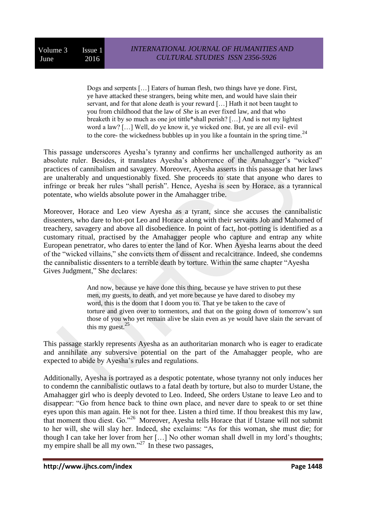Dogs and serpents […] Eaters of human flesh, two things have ye done. First, ye have attacked these strangers, being white men, and would have slain their servant, and for that alone death is your reward […] Hath it not been taught to you from childhood that the law of *She* is an ever fixed law, and that who breaketh it by so much as one jot tittle\*shall perish? […] And is not my lightest word a law? […] Well, do ye know it, ye wicked one. But, ye are all evil- evil to the core- the wickedness bubbles up in you like a fountain in the spring time.<sup>24</sup>

This passage underscores Ayesha's tyranny and confirms her unchallenged authority as an absolute ruler. Besides, it translates Ayesha's abhorrence of the Amahagger's "wicked" practices of cannibalism and savagery. Moreover, Ayesha asserts in this passage that her laws are unalterably and unquestionably fixed. She proceeds to state that anyone who dares to infringe or break her rules "shall perish". Hence, Ayesha is seen by Horace, as a tyrannical potentate, who wields absolute power in the Amahagger tribe.

Moreover, Horace and Leo view Ayesha as a tyrant, since she accuses the cannibalistic dissenters, who dare to hot-pot Leo and Horace along with their servants Job and Mahomed of treachery, savagery and above all disobedience. In point of fact, hot-potting is identified as a customary ritual, practised by the Amahagger people who capture and entrap any white European penetrator, who dares to enter the land of Kor. When Ayesha learns about the deed of the "wicked villains," she convicts them of dissent and recalcitrance. Indeed, she condemns the cannibalistic dissenters to a terrible death by torture. Within the same chapter "Ayesha Gives Judgment," She declares:

> And now, because ye have done this thing, because ye have striven to put these men, my guests, to death, and yet more because ye have dared to disobey my word, this is the doom that I doom you to. That ye be taken to the cave of torture and given over to tormentors, and that on the going down of tomorrow's sun those of you who yet remain alive be slain even as ye would have slain the servant of this my guest. $25$

This passage starkly represents Ayesha as an authoritarian monarch who is eager to eradicate and annihilate any subversive potential on the part of the Amahagger people, who are expected to abide by Ayesha's rules and regulations.

Additionally, Ayesha is portrayed as a despotic potentate, whose tyranny not only induces her to condemn the cannibalistic outlaws to a fatal death by torture, but also to murder Ustane, the Amahagger girl who is deeply devoted to Leo. Indeed, She orders Ustane to leave Leo and to disappear: "Go from hence back to thine own place, and never dare to speak to or set thine eyes upon this man again. He is not for thee. Listen a third time. If thou breakest this my law, that moment thou diest. Go."<sup>26</sup> Moreover, Ayesha tells Horace that if Ustane will not submit to her will, she will slay her. Indeed, she exclaims: "As for this woman, she must die; for though I can take her lover from her […] No other woman shall dwell in my lord's thoughts; my empire shall be all my own."<sup>27</sup> In these two passages,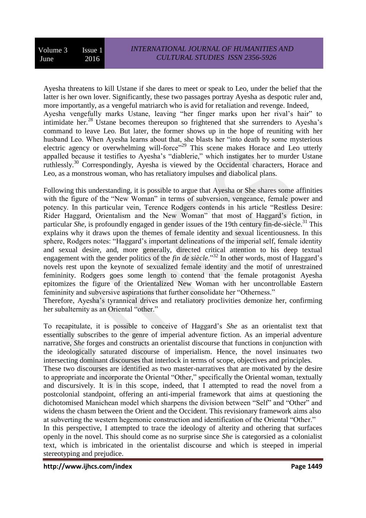Ayesha threatens to kill Ustane if she dares to meet or speak to Leo, under the belief that the latter is her own lover. Significantly, these two passages portray Ayesha as despotic ruler and, more importantly, as a vengeful matriarch who is avid for retaliation and revenge. Indeed, Ayesha vengefully marks Ustane, leaving "her finger marks upon her rival's hair" to intimidate her.<sup>28</sup> Ustane becomes thereupon so frightened that she surrenders to Ayesha's command to leave Leo. But later, the former shows up in the hope of reuniting with her husband Leo. When Ayesha learns about that, she blasts her "into death by some mysterious electric agency or overwhelming will-force"<sup>29</sup> This scene makes Horace and Leo utterly appalled because it testifies to Ayesha's "diablerie," which instigates her to murder Ustane ruthlessly.<sup>30</sup> Correspondingly, Ayesha is viewed by the Occidental characters, Horace and Leo, as a monstrous woman, who has retaliatory impulses and diabolical plans.

Following this understanding, it is possible to argue that Ayesha or She shares some affinities with the figure of the "New Woman" in terms of subversion, vengeance, female power and potency. In this particular vein, Terence Rodgers contends in his article "Restless Desire: Rider Haggard, Orientalism and the New Woman" that most of Haggard's fiction, in particular *She*, is profoundly engaged in gender issues of the 19th century fin-de-siècle.<sup>31</sup> This explains why it draws upon the themes of female identity and sexual licentiousness. In this sphere, Rodgers notes: "Haggard's important delineations of the imperial self, female identity and sexual desire, and, more generally, directed critical attention to his deep textual engagement with the gender politics of the *fin de siècle*."<sup>32</sup> In other words, most of Haggard's novels rest upon the keynote of sexualized female identity and the motif of unrestrained femininity. Rodgers goes some length to contend that the female protagonist Ayesha epitomizes the figure of the Orientalized New Woman with her uncontrollable Eastern femininity and subversive aspirations that further consolidate her "Otherness."

Therefore, Ayesha's tyrannical drives and retaliatory proclivities demonize her, confirming her subalternity as an Oriental "other."

To recapitulate, it is possible to conceive of Haggard's *She* as an orientalist text that essentially subscribes to the genre of imperial adventure fiction. As an imperial adventure narrative, *She* forges and constructs an orientalist discourse that functions in conjunction with the ideologically saturated discourse of imperialism. Hence, the novel insinuates two intersecting dominant discourses that interlock in terms of scope, objectives and principles.

These two discourses are identified as two master-narratives that are motivated by the desire to appropriate and incorporate the Oriental "Other," specifically the Oriental woman, textually and discursively. It is in this scope, indeed, that I attempted to read the novel from a postcolonial standpoint, offering an anti-imperial framework that aims at questioning the dichotomised Manichean model which sharpens the division between "Self" and "Other" and widens the chasm between the Orient and the Occident. This revisionary framework aims also at subverting the western hegemonic construction and identification of the Oriental "Other."

In this perspective, I attempted to trace the ideology of alterity and othering that surfaces openly in the novel. This should come as no surprise since *She* is categorsied as a colonialist text, which is imbricated in the orientalist discourse and which is steeped in imperial stereotyping and prejudice.

**http://www.ijhcs.com/index Page 1449**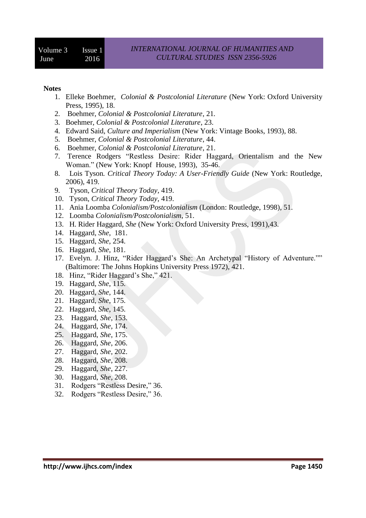## **Notes**

- 1. Elleke Boehmer, *Colonial & Postcolonial Literature* (New York: Oxford University Press, 1995), 18.
- 2. Boehmer, *Colonial & Postcolonial Literature*, 21*.*
- 3. Boehmer, *Colonial & Postcolonial Literature*, 23.
- 4. Edward Said, *Culture and Imperialism* (New York: Vintage Books, 1993), 88.
- 5. Boehmer, *Colonial & Postcolonial Literature*, 44.
- 6. Boehmer, *Colonial & Postcolonial Literature*, 21.
- 7. Terence Rodgers "Restless Desire: Rider Haggard, Orientalism and the New Woman." (New York: Knopf House, 1993), 35-46.
- 8. Lois Tyson*. Critical Theory Today: A User-Friendly Guide* (New York: Routledge, 2006), 419.
- 9. Tyson, *Critical Theory Today*, 419.
- 10. Tyson, *Critical Theory Today*, 419.
- 11. Ania Loomba *Colonialism/Postcolonialism* (London: Routledge, 1998), 51.
- 12. Loomba *Colonialism/Postcolonialism*, 51.
- 13. H. Rider Haggard, *She* (New York: Oxford University Press, 1991),43.
- 14. Haggard, *She*, 181.
- 15. Haggard, *She*, 254.
- 16. Haggard, *She*, 181.
- 17. Evelyn. J. Hinz, "Rider Haggard's She: An Archetypal "History of Adventure."" (Baltimore: [The Johns Hopkins University Press](https://muse.jhu.edu/browse/publishers/hopkins) 1972), 421.
- 18. Hinz, "Rider Haggard's She," 421.
- 19. Haggard, *She*, 115.
- 20. Haggard, *She*, 144.
- 21. Haggard, *She*, 175.
- 22. Haggard, *She*, 145.
- 23. Haggard, *She*, 153.
- 24. Haggard, *She*, 174.
- 25. Haggard, *She*, 175.
- 26. Haggard, *She*, 206.
- 27. Haggard, *She*, 202.
- 28. Haggard, *She*, 208.
- 29. Haggard, *She*, 227.
- 30. Haggard, *She*, 208.
- 31. Rodgers "Restless Desire," 36.
- 32. Rodgers "Restless Desire," 36.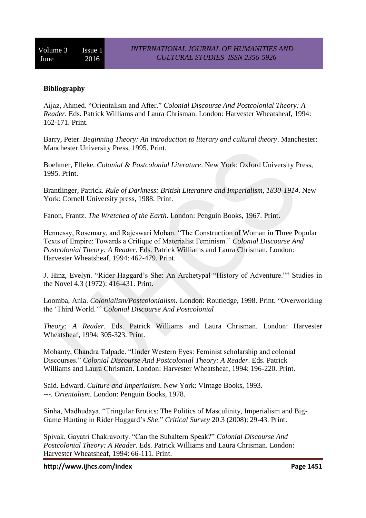## **Bibliography**

Aijaz, Ahmed. "Orientalism and After." *Colonial Discourse And Postcolonial Theory: A Reader*. Eds. Patrick Williams and Laura Chrisman. London: Harvester Wheatsheaf, 1994: 162-171. Print.

Barry, Peter. *Beginning Theory: An introduction to literary and cultural theory*. Manchester: Manchester University Press, 1995. Print.

Boehmer, Elleke*. Colonial & Postcolonial Literature*. New York: Oxford University Press, 1995. Print.

Brantlinger, Patrick. *Rule of Darkness: British Literature and Imperialism, 1830-1914*. New York: Cornell University press, 1988. Print.

Fanon, Frantz. *The Wretched of the Earth*. London: Penguin Books, 1967. Print.

Hennessy, Rosemary, and Rajeswari Mohan. "The Construction of Woman in Three Popular Texts of Empire: Towards a Critique of Materialist Feminism." *Colonial Discourse And Postcolonial Theory: A Reader*. Eds. Patrick Williams and Laura Chrisman. London: Harvester Wheatsheaf, 1994: 462-479. Print.

J. Hinz, Evelyn. "Rider Haggard's She: An Archetypal "History of Adventure."" Studies in the Novel 4.3 (1972): 416-431. Print.

Loomba, Ania. *Colonialism/Postcolonialism*. London: Routledge, 1998. Print. "Overworlding the 'Third World.'" *Colonial Discourse And Postcolonial*

*Theory: A Reader*. Eds. Patrick Williams and Laura Chrisman. London: Harvester Wheatsheaf, 1994: 305-323. Print.

Mohanty, Chandra Talpade. "Under Western Eyes: Feminist scholarship and colonial Discourses." *Colonial Discourse And Postcolonial Theory: A Reader*. Eds. Patrick Williams and Laura Chrisman. London: Harvester Wheatsheaf, 1994: 196-220. Print.

Said. Edward. *Culture and Imperialism*. New York: Vintage Books, 1993. ---*. Orientalism*. London: Penguin Books, 1978.

Sinha, Madhudaya. "Tringular Erotics: The Politics of Masculinity, Imperialism and Big-Game Hunting in Rider Haggard's *She*." *Critical Survey* 20.3 (2008): 29-43. Print.

Spivak, Gayatri Chakravorty. "Can the Subaltern Speak?" *Colonial Discourse And Postcolonial Theory: A Reader*. Eds. Patrick Williams and Laura Chrisman. London: Harvester Wheatsheaf, 1994: 66-111. Print.

**http://www.ijhcs.com/index Page 1451**